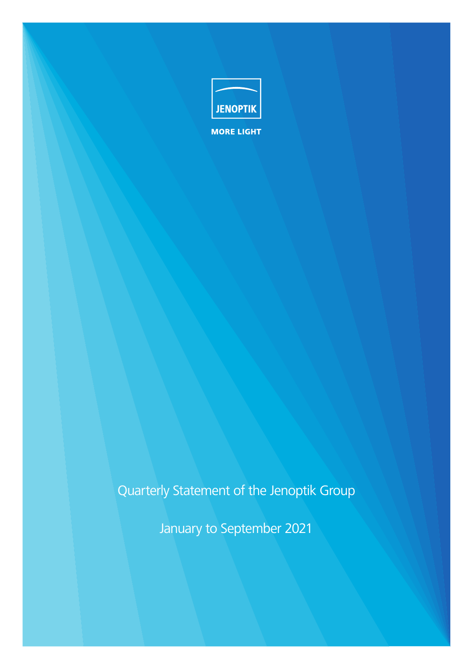

Quarterly Statement of the Jenoptik Group

January to September 2021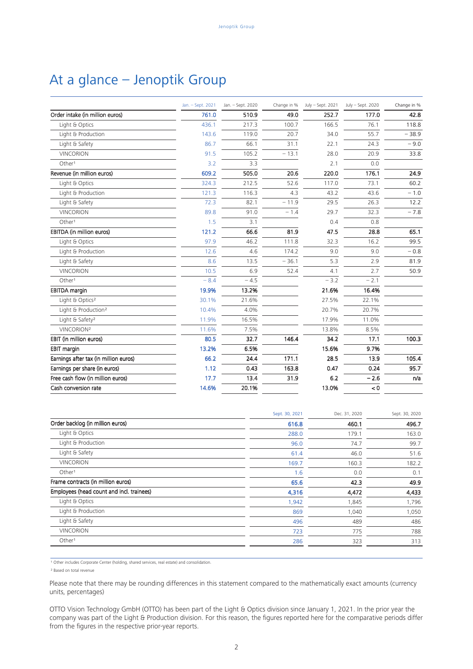## At a glance – Jenoptik Group

|                                       | Jan. - Sept. 2021 | Jan. - Sept. 2020 | Change in % | July - Sept. 2021 | July - Sept. 2020 | Change in % |
|---------------------------------------|-------------------|-------------------|-------------|-------------------|-------------------|-------------|
| Order intake (in million euros)       | 761.0             | 510.9             | 49.0        | 252.7             | 177.0             | 42.8        |
| Light & Optics                        | 436.1             | 217.3             | 100.7       | 166.5             | 76.1              | 118.8       |
| Light & Production                    | 143.6             | 119.0             | 20.7        | 34.0              | 55.7              | $-38.9$     |
| Light & Safety                        | 86.7              | 66.1              | 31.1        | 22.1              | 24.3              | $-9.0$      |
| <b>VINCORION</b>                      | 91.5              | 105.2             | $-13.1$     | 28.0              | 20.9              | 33.8        |
| Other <sup>1</sup>                    | 3.2               | 3.3               |             | 2.1               | 0.0               |             |
| Revenue (in million euros)            | 609.2             | 505.0             | 20.6        | 220.0             | 176.1             | 24.9        |
| Light & Optics                        | 324.3             | 212.5             | 52.6        | 117.0             | 73.1              | 60.2        |
| Light & Production                    | 121.3             | 116.3             | 4.3         | 43.2              | 43.6              | $-1.0$      |
| Light & Safety                        | 72.3              | 82.1              | $-11.9$     | 29.5              | 26.3              | 12.2        |
| <b>VINCORION</b>                      | 89.8              | 91.0              | $-1.4$      | 29.7              | 32.3              | $-7.8$      |
| Other <sup>1</sup>                    | 1.5               | 3.1               |             | 0.4               | 0.8               |             |
| EBITDA (in million euros)             | 121.2             | 66.6              | 81.9        | 47.5              | 28.8              | 65.1        |
| Light & Optics                        | 97.9              | 46.2              | 111.8       | 32.3              | 16.2              | 99.5        |
| Light & Production                    | 12.6              | 4.6               | 174.2       | 9.0               | 9.0               | $-0.8$      |
| Light & Safety                        | 8.6               | 13.5              | $-36.1$     | 5.3               | 2.9               | 81.9        |
| <b>VINCORION</b>                      | 10.5              | 6.9               | 52.4        | 4.1               | 2.7               | 50.9        |
| Other <sup>1</sup>                    | $-8.4$            | $-4.5$            |             | $-3.2$            | $-2.1$            |             |
| <b>EBITDA</b> margin                  | 19.9%             | 13.2%             |             | 21.6%             | 16.4%             |             |
| Light & Optics <sup>2</sup>           | 30.1%             | 21.6%             |             | 27.5%             | 22.1%             |             |
| Light & Production <sup>2</sup>       | 10.4%             | 4.0%              |             | 20.7%             | 20.7%             |             |
| Light & Safety <sup>2</sup>           | 11.9%             | 16.5%             |             | 17.9%             | 11.0%             |             |
| VINCORION <sup>2</sup>                | 11.6%             | 7.5%              |             | 13.8%             | 8.5%              |             |
| EBIT (in million euros)               | 80.5              | 32.7              | 146.4       | 34.2              | 17.1              | 100.3       |
| <b>EBIT margin</b>                    | 13.2%             | 6.5%              |             | 15.6%             | 9.7%              |             |
| Earnings after tax (in million euros) | 66.2              | 24.4              | 171.1       | 28.5              | 13.9              | 105.4       |
| Earnings per share (in euros)         | 1.12              | 0.43              | 163.8       | 0.47              | 0.24              | 95.7        |
| Free cash flow (in million euros)     | 17.7              | 13.4              | 31.9        | 6.2               | $-2.6$            | n/a         |
| Cash conversion rate                  | 14.6%             | 20.1%             |             | 13.0%             | < 0               |             |

|                                           | Sept. 30, 2021 | Dec. 31, 2020 | Sept. 30, 2020 |
|-------------------------------------------|----------------|---------------|----------------|
| Order backlog (in million euros)          | 616.8          | 460.1         | 496.7          |
| Light & Optics                            | 288.0          | 179.1         | 163.0          |
| Light & Production                        | 96.0           | 74.7          | 99.7           |
| Light & Safety                            | 61.4           | 46.0          | 51.6           |
| VINCORION                                 | 169.7          | 160.3         | 182.2          |
| Other <sup>1</sup>                        | 1.6            | 0.0           | 0.1            |
| Frame contracts (in million euros)        | 65.6           | 42.3          | 49.9           |
| Employees (head count and incl. trainees) | 4,316          | 4,472         | 4,433          |
| Light & Optics                            | 1,942          | 1,845         | 1,796          |
| Light & Production                        | 869            | 1,040         | 1,050          |
| Light & Safety                            | 496            | 489           | 486            |
| <b>VINCORION</b>                          | 723            | 775           | 788            |
| Other <sup>1</sup>                        | 286            | 323           | 313            |
|                                           |                |               |                |

<sup>1</sup> Other includes Corporate Center (holding, shared services, real estate) and consolidation.

² Based on total revenue

Please note that there may be rounding differences in this statement compared to the mathematically exact amounts (currency units, percentages)

OTTO Vision Technology GmbH (OTTO) has been part of the Light & Optics division since January 1, 2021. In the prior year the company was part of the Light & Production division. For this reason, the figures reported here for the comparative periods differ from the figures in the respective prior-year reports.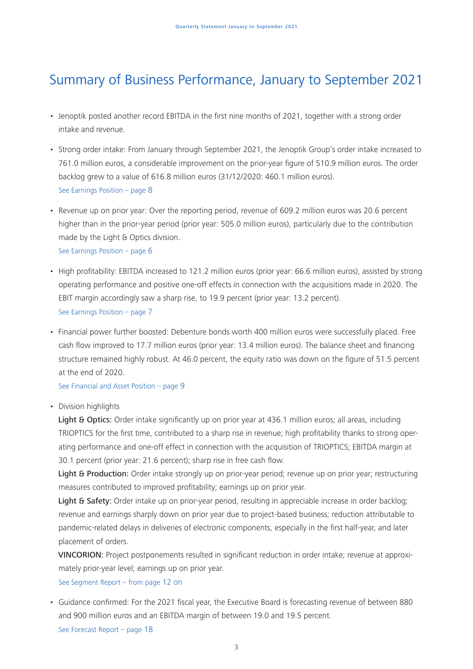# Summary of Business Performance, January to September 2021

- Jenoptik posted another record EBITDA in the first nine months of 2021, together with a strong order intake and revenue.
- Strong order intake: From January through September 2021, the Jenoptik Group's order intake increased to 761.0 million euros, a considerable improvement on the prior-year figure of 510.9 million euros. The order backlog grew to a value of 616.8 million euros (31/12/2020: 460.1 million euros). See Earnings Position – page 8
- Revenue up on prior year: Over the reporting period, revenue of 609.2 million euros was 20.6 percent higher than in the prior-year period (prior year: 505.0 million euros), particularly due to the contribution made by the Light & Optics division. See Earnings Position – page 6
- High profitability: EBITDA increased to 121.2 million euros (prior year: 66.6 million euros), assisted by strong operating performance and positive one-off effects in connection with the acquisitions made in 2020. The EBIT margin accordingly saw a sharp rise, to 19.9 percent (prior year: 13.2 percent). See Earnings Position – page 7
- Financial power further boosted: Debenture bonds worth 400 million euros were successfully placed. Free cash flow improved to 17.7 million euros (prior year: 13.4 million euros). The balance sheet and financing structure remained highly robust. At 46.0 percent, the equity ratio was down on the figure of 51.5 percent at the end of 2020.

See Financial and Asset Position – page 9

• Division highlights

Light & Optics: Order intake significantly up on prior year at 436.1 million euros; all areas, including TRIOPTICS for the first time, contributed to a sharp rise in revenue; high profitability thanks to strong operating performance and one-off effect in connection with the acquisition of TRIOPTICS; EBITDA margin at 30.1 percent (prior year: 21.6 percent); sharp rise in free cash flow.

Light & Production: Order intake strongly up on prior-year period; revenue up on prior year; restructuring measures contributed to improved profitability; earnings up on prior year.

Light & Safety: Order intake up on prior-year period, resulting in appreciable increase in order backlog; revenue and earnings sharply down on prior year due to project-based business; reduction attributable to pandemic-related delays in deliveries of electronic components, especially in the first half-year, and later placement of orders.

VINCORION: Project postponements resulted in significant reduction in order intake; revenue at approximately prior-year level; earnings up on prior year.

See Segment Report – from page 12 on

• Guidance confirmed: For the 2021 fiscal year, the Executive Board is forecasting revenue of between 880 and 900 million euros and an EBITDA margin of between 19.0 and 19.5 percent. See Forecast Report – page 18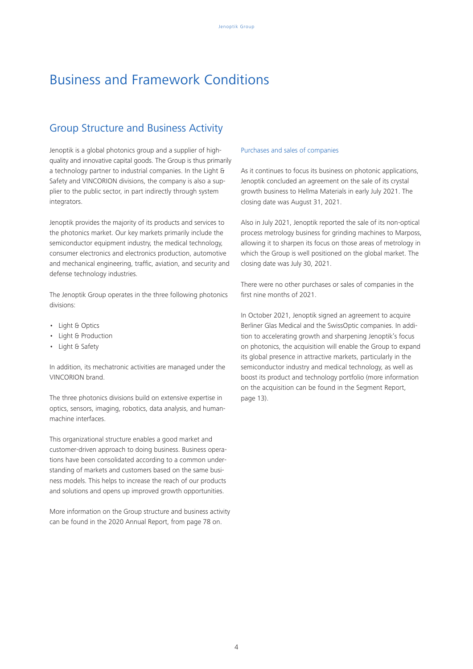## Business and Framework Conditions

## Group Structure and Business Activity

Jenoptik is a global photonics group and a supplier of highquality and innovative capital goods. The Group is thus primarily a technology partner to industrial companies. In the Light & Safety and VINCORION divisions, the company is also a supplier to the public sector, in part indirectly through system integrators.

Jenoptik provides the majority of its products and services to the photonics market. Our key markets primarily include the semiconductor equipment industry, the medical technology, consumer electronics and electronics production, automotive and mechanical engineering, traffic, aviation, and security and defense technology industries.

The Jenoptik Group operates in the three following photonics divisions:

- Light & Optics
- Light & Production
- Light & Safety

In addition, its mechatronic activities are managed under the VINCORION brand.

The three photonics divisions build on extensive expertise in optics, sensors, imaging, robotics, data analysis, and humanmachine interfaces.

This organizational structure enables a good market and customer-driven approach to doing business. Business operations have been consolidated according to a common understanding of markets and customers based on the same business models. This helps to increase the reach of our products and solutions and opens up improved growth opportunities.

More information on the Group structure and business activity can be found in the 2020 Annual Report, from page 78 on.

### Purchases and sales of companies

As it continues to focus its business on photonic applications, Jenoptik concluded an agreement on the sale of its crystal growth business to Hellma Materials in early July 2021. The closing date was August 31, 2021.

Also in July 2021, Jenoptik reported the sale of its non-optical process metrology business for grinding machines to Marposs, allowing it to sharpen its focus on those areas of metrology in which the Group is well positioned on the global market. The closing date was July 30, 2021.

There were no other purchases or sales of companies in the first nine months of 2021.

In October 2021, Jenoptik signed an agreement to acquire Berliner Glas Medical and the SwissOptic companies. In addition to accelerating growth and sharpening Jenoptik's focus on photonics, the acquisition will enable the Group to expand its global presence in attractive markets, particularly in the semiconductor industry and medical technology, as well as boost its product and technology portfolio (more information on the acquisition can be found in the Segment Report, page 13).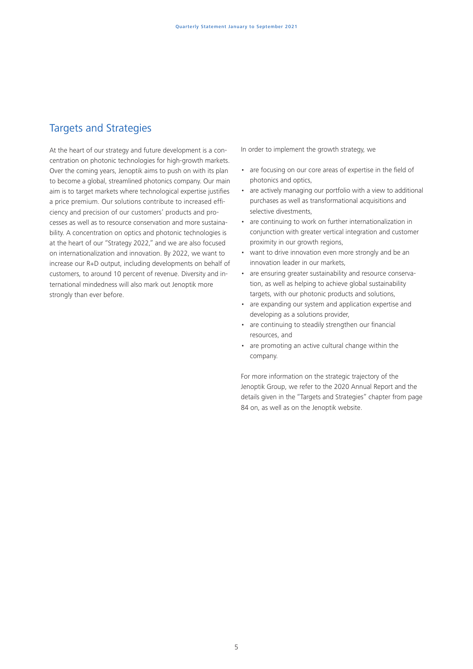## Targets and Strategies

At the heart of our strategy and future development is a concentration on photonic technologies for high-growth markets. Over the coming years, Jenoptik aims to push on with its plan to become a global, streamlined photonics company. Our main aim is to target markets where technological expertise justifies a price premium. Our solutions contribute to increased efficiency and precision of our customers' products and processes as well as to resource conservation and more sustainability. A concentration on optics and photonic technologies is at the heart of our "Strategy 2022," and we are also focused on internationalization and innovation. By 2022, we want to increase our R+D output, including developments on behalf of customers, to around 10 percent of revenue. Diversity and international mindedness will also mark out Jenoptik more strongly than ever before.

In order to implement the growth strategy, we

- are focusing on our core areas of expertise in the field of photonics and optics,
- are actively managing our portfolio with a view to additional purchases as well as transformational acquisitions and selective divestments,
- are continuing to work on further internationalization in conjunction with greater vertical integration and customer proximity in our growth regions,
- want to drive innovation even more strongly and be an innovation leader in our markets,
- are ensuring greater sustainability and resource conservation, as well as helping to achieve global sustainability targets, with our photonic products and solutions,
- are expanding our system and application expertise and developing as a solutions provider,
- are continuing to steadily strengthen our financial resources, and
- are promoting an active cultural change within the company.

For more information on the strategic trajectory of the Jenoptik Group, we refer to the 2020 Annual Report and the details given in the "Targets and Strategies" chapter from page 84 on, as well as on the Jenoptik website.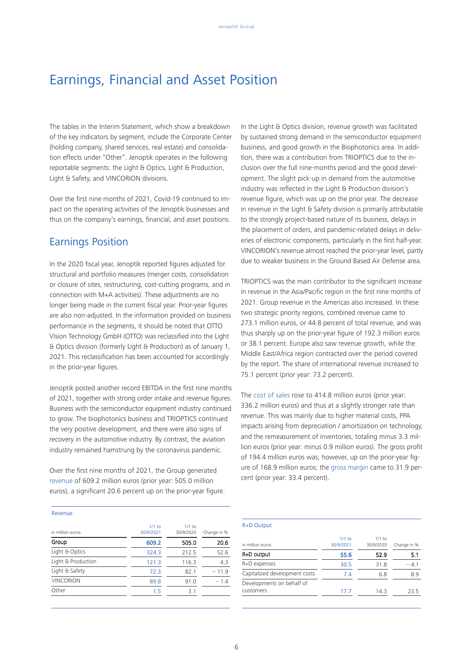## Earnings, Financial and Asset Position

The tables in the Interim Statement, which show a breakdown of the key indicators by segment, include the Corporate Center (holding company, shared services, real estate) and consolidation effects under "Other". Jenoptik operates in the following reportable segments: the Light & Optics, Light & Production, Light & Safety, and VINCORION divisions.

Over the first nine months of 2021, Covid-19 continued to impact on the operating activities of the Jenoptik businesses and thus on the company's earnings, financial, and asset positions.

### Earnings Position

In the 2020 fiscal year, Jenoptik reported figures adjusted for structural and portfolio measures (merger costs, consolidation or closure of sites, restructuring, cost-cutting programs, and in connection with M+A activities). These adjustments are no longer being made in the current fiscal year. Prior-year figures are also non-adjusted. In the information provided on business performance in the segments, it should be noted that OTTO Vision Technology GmbH (OTTO) was reclassified into the Light & Optics division (formerly Light & Production) as of January 1, 2021. This reclassification has been accounted for accordingly in the prior-year figures.

Jenoptik posted another record EBITDA in the first nine months of 2021, together with strong order intake and revenue figures. Business with the semiconductor equipment industry continued to grow. The biophotonics business and TRIOPTICS continued the very positive development, and there were also signs of recovery in the automotive industry. By contrast, the aviation industry remained hamstrung by the coronavirus pandemic.

Over the first nine months of 2021, the Group generated revenue of 609.2 million euros (prior year: 505.0 million euros), a significant 20.6 percent up on the prior-year figure.

In the Light & Optics division, revenue growth was facilitated by sustained strong demand in the semiconductor equipment business, and good growth in the Biophotonics area. In addition, there was a contribution from TRIOPTICS due to the inclusion over the full nine-months period and the good development. The slight pick-up in demand from the automotive industry was reflected in the Light & Production division's revenue figure, which was up on the prior year. The decrease in revenue in the Light & Safety division is primarily attributable to the strongly project-based nature of its business, delays in the placement of orders, and pandemic-related delays in deliveries of electronic components, particularly in the first half-year. VINCORION's revenue almost reached the prior-year level, partly due to weaker business in the Ground Based Air Defense area.

TRIOPTICS was the main contributor to the significant increase in revenue in the Asia/Pacific region in the first nine months of 2021. Group revenue in the Americas also increased. In these two strategic priority regions, combined revenue came to 273.1 million euros, or 44.8 percent of total revenue, and was thus sharply up on the prior-year figure of 192.3 million euros or 38.1 percent. Europe also saw revenue growth, while the Middle East/Africa region contracted over the period covered by the report. The share of international revenue increased to 75.1 percent (prior year: 73.2 percent).

The cost of sales rose to 414.8 million euros (prior year: 336.2 million euros) and thus at a slightly stronger rate than revenue. This was mainly due to higher material costs, PPA impacts arising from depreciation / amortization on technology, and the remeasurement of inventories, totaling minus 3.3 million euros (prior year: minus 0.9 million euros). The gross profit of 194.4 million euros was, however, up on the prior-year figure of 168.9 million euros; the gross margin came to 31.9 percent (prior year: 33.4 percent).

#### Revenue

| in million euros   | $1/1$ to<br>30/9/2021 | $1/1$ to<br>30/9/2020 | Change in % |
|--------------------|-----------------------|-----------------------|-------------|
| Group              | 609.2                 | 505.0                 | 20.6        |
| Light & Optics     | 324.3                 | 212.5                 | 52.6        |
| Light & Production | 121.3                 | 116.3                 | 4.3         |
| Light & Safety     | 72.3                  | 82.1                  | $-11.9$     |
| <b>VINCORION</b>   | 89.8                  | 91.0                  | $-1.4$      |
| Other              | 1.5                   | 3.1                   |             |

#### R+D Output

| in million euros                       | $1/1$ to<br>30/9/2021 | $1/1$ to<br>30/9/2020 | Change in % |
|----------------------------------------|-----------------------|-----------------------|-------------|
| R+D output                             | 55.6                  | 52.9                  | 5.1         |
| R+D expenses                           | 30.5                  | 31.8                  | $-4.1$      |
| Capitalized development costs          | 7.4                   | 6.8                   | 8.9         |
| Developments on behalf of<br>customers | 17.7                  | 14.3                  | 23.5        |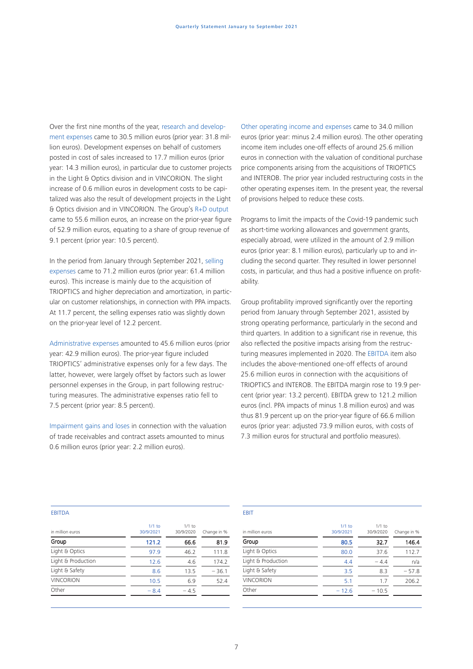Over the first nine months of the year, research and development expenses came to 30.5 million euros (prior year: 31.8 million euros). Development expenses on behalf of customers posted in cost of sales increased to 17.7 million euros (prior year: 14.3 million euros), in particular due to customer projects in the Light & Optics division and in VINCORION. The slight increase of 0.6 million euros in development costs to be capitalized was also the result of development projects in the Light & Optics division and in VINCORION. The Group's R+D output came to 55.6 million euros, an increase on the prior-year figure of 52.9 million euros, equating to a share of group revenue of 9.1 percent (prior year: 10.5 percent).

In the period from January through September 2021, selling expenses came to 71.2 million euros (prior year: 61.4 million euros). This increase is mainly due to the acquisition of TRIOPTICS and higher depreciation and amortization, in particular on customer relationships, in connection with PPA impacts. At 11.7 percent, the selling expenses ratio was slightly down on the prior-year level of 12.2 percent.

Administrative expenses amounted to 45.6 million euros (prior year: 42.9 million euros). The prior-year figure included TRIOPTICS' administrative expenses only for a few days. The latter, however, were largely offset by factors such as lower personnel expenses in the Group, in part following restructuring measures. The administrative expenses ratio fell to 7.5 percent (prior year: 8.5 percent).

Impairment gains and loses in connection with the valuation of trade receivables and contract assets amounted to minus 0.6 million euros (prior year: 2.2 million euros).

Other operating income and expenses came to 34.0 million euros (prior year: minus 2.4 million euros). The other operating income item includes one-off effects of around 25.6 million euros in connection with the valuation of conditional purchase price components arising from the acquisitions of TRIOPTICS and INTEROB. The prior year included restructuring costs in the other operating expenses item. In the present year, the reversal of provisions helped to reduce these costs.

Programs to limit the impacts of the Covid-19 pandemic such as short-time working allowances and government grants, especially abroad, were utilized in the amount of 2.9 million euros (prior year: 8.1 million euros), particularly up to and including the second quarter. They resulted in lower personnel costs, in particular, and thus had a positive influence on profitability.

Group profitability improved significantly over the reporting period from January through September 2021, assisted by strong operating performance, particularly in the second and third quarters. In addition to a significant rise in revenue, this also reflected the positive impacts arising from the restructuring measures implemented in 2020. The EBITDA item also includes the above-mentioned one-off effects of around 25.6 million euros in connection with the acquisitions of TRIOPTICS and INTEROB. The EBITDA margin rose to 19.9 percent (prior year: 13.2 percent). EBITDA grew to 121.2 million euros (incl. PPA impacts of minus 1.8 million euros) and was thus 81.9 percent up on the prior-year figure of 66.6 million euros (prior year: adjusted 73.9 million euros, with costs of 7.3 million euros for structural and portfolio measures).

#### EBITDA

| $1/1$ to<br>30/9/2021 | $1/1$ to<br>30/9/2020 | Change in % |
|-----------------------|-----------------------|-------------|
| 121.2                 | 66.6                  | 81.9        |
| 97.9                  | 46.2                  | 111.8       |
| 12.6                  | 4.6                   | 174.2       |
| 8.6                   | 13.5                  | $-36.1$     |
| 10.5                  | 6.9                   | 52.4        |
| $-8.4$                | $-4.5$                |             |
|                       |                       |             |

#### EBIT

| in million euros   | $1/1$ to<br>30/9/2021 | $1/1$ to<br>30/9/2020 | Change in % |
|--------------------|-----------------------|-----------------------|-------------|
| Group              | 80.5                  | 32.7                  | 146.4       |
| Light & Optics     | 80.0                  | 37.6                  | 112.7       |
| Light & Production | 4.4                   | $-4.4$                | n/a         |
| Light & Safety     | 3.5                   | 8.3                   | $-57.8$     |
| <b>VINCORION</b>   | 5.1                   | 1.7                   | 206.2       |
| Other              | $-12.6$               | $-10.5$               |             |
|                    |                       |                       |             |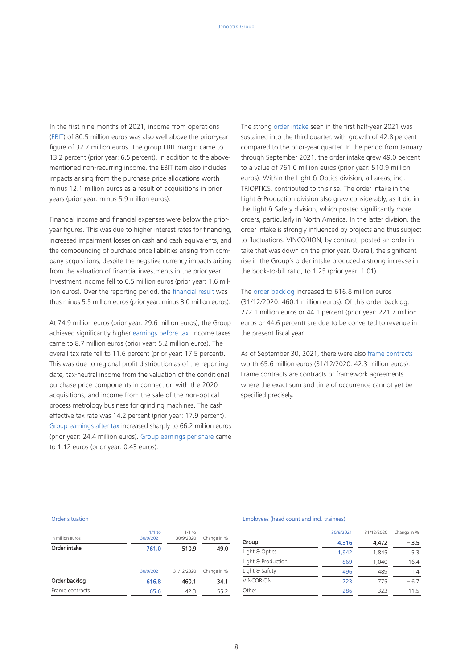In the first nine months of 2021, income from operations (EBIT) of 80.5 million euros was also well above the prior-year figure of 32.7 million euros. The group EBIT margin came to 13.2 percent (prior year: 6.5 percent). In addition to the abovementioned non-recurring income, the EBIT item also includes impacts arising from the purchase price allocations worth minus 12.1 million euros as a result of acquisitions in prior years (prior year: minus 5.9 million euros).

Financial income and financial expenses were below the prioryear figures. This was due to higher interest rates for financing, increased impairment losses on cash and cash equivalents, and the compounding of purchase price liabilities arising from company acquisitions, despite the negative currency impacts arising from the valuation of financial investments in the prior year. Investment income fell to 0.5 million euros (prior year: 1.6 million euros). Over the reporting period, the financial result was thus minus 5.5 million euros (prior year: minus 3.0 million euros).

At 74.9 million euros (prior year: 29.6 million euros), the Group achieved significantly higher earnings before tax. Income taxes came to 8.7 million euros (prior year: 5.2 million euros). The overall tax rate fell to 11.6 percent (prior year: 17.5 percent). This was due to regional profit distribution as of the reporting date, tax-neutral income from the valuation of the conditional purchase price components in connection with the 2020 acquisitions, and income from the sale of the non-optical process metrology business for grinding machines. The cash effective tax rate was 14.2 percent (prior year: 17.9 percent). Group earnings after tax increased sharply to 66.2 million euros (prior year: 24.4 million euros). Group earnings per share came to 1.12 euros (prior year: 0.43 euros).

The strong order intake seen in the first half-year 2021 was sustained into the third quarter, with growth of 42.8 percent compared to the prior-year quarter. In the period from January through September 2021, the order intake grew 49.0 percent to a value of 761.0 million euros (prior year: 510.9 million euros). Within the Light & Optics division, all areas, incl. TRIOPTICS, contributed to this rise. The order intake in the Light & Production division also grew considerably, as it did in the Light & Safety division, which posted significantly more orders, particularly in North America. In the latter division, the order intake is strongly influenced by projects and thus subject to fluctuations. VINCORION, by contrast, posted an order intake that was down on the prior year. Overall, the significant rise in the Group's order intake produced a strong increase in the book-to-bill ratio, to 1.25 (prior year: 1.01).

The order backlog increased to 616.8 million euros (31/12/2020: 460.1 million euros). Of this order backlog, 272.1 million euros or 44.1 percent (prior year: 221.7 million euros or 44.6 percent) are due to be converted to revenue in the present fiscal year.

As of September 30, 2021, there were also frame contracts worth 65.6 million euros (31/12/2020: 42.3 million euros). Frame contracts are contracts or framework agreements where the exact sum and time of occurrence cannot yet be specified precisely.

#### Order situation

| in million euros | $1/1$ to<br>30/9/2021 | $1/1$ to<br>30/9/2020 | Change in % |
|------------------|-----------------------|-----------------------|-------------|
| Order intake     | 761.0                 | 510.9                 | 49.0        |
|                  |                       |                       |             |
|                  | 30/9/2021             | 31/12/2020            | Change in % |
| Order backlog    | 616.8                 | 460.1                 | 34.1        |
| Frame contracts  | 65.6                  | 42.3                  | 55.2        |
|                  |                       |                       |             |

#### Employees (head count and incl. trainees)

|                    | 30/9/2021 | 31/12/2020 | Change in % |
|--------------------|-----------|------------|-------------|
| Group              | 4,316     | 4,472      | $-3.5$      |
| Light & Optics     | 1.942     | 1,845      | 5.3         |
| Light & Production | 869       | 1,040      | $-16.4$     |
| Light & Safety     | 496       | 489        | 1.4         |
| <b>VINCORION</b>   | 723       | 775        | $-6.7$      |
| Other              | 286       | 323        | $-11.5$     |
|                    |           |            |             |

8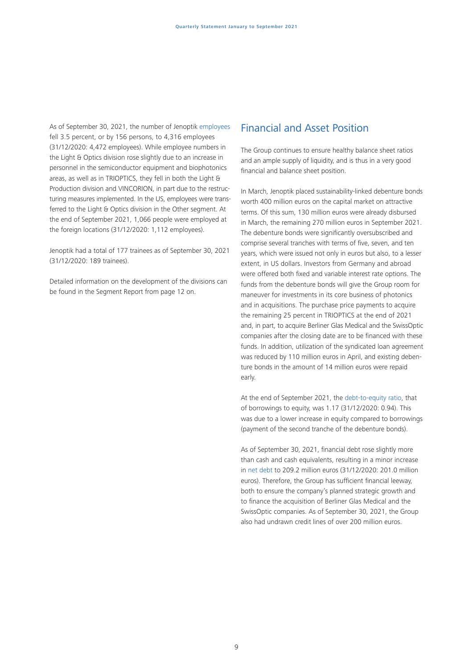As of September 30, 2021, the number of Jenoptik employees fell 3.5 percent, or by 156 persons, to 4,316 employees (31/12/2020: 4,472 employees). While employee numbers in the Light & Optics division rose slightly due to an increase in personnel in the semiconductor equipment and biophotonics areas, as well as in TRIOPTICS, they fell in both the Light & Production division and VINCORION, in part due to the restructuring measures implemented. In the US, employees were transferred to the Light & Optics division in the Other segment. At the end of September 2021, 1,066 people were employed at the foreign locations (31/12/2020: 1,112 employees).

Jenoptik had a total of 177 trainees as of September 30, 2021 (31/12/2020: 189 trainees).

Detailed information on the development of the divisions can be found in the Segment Report from page 12 on.

### Financial and Asset Position

The Group continues to ensure healthy balance sheet ratios and an ample supply of liquidity, and is thus in a very good financial and balance sheet position.

In March, Jenoptik placed sustainability-linked debenture bonds worth 400 million euros on the capital market on attractive terms. Of this sum, 130 million euros were already disbursed in March, the remaining 270 million euros in September 2021. The debenture bonds were significantly oversubscribed and comprise several tranches with terms of five, seven, and ten years, which were issued not only in euros but also, to a lesser extent, in US dollars. Investors from Germany and abroad were offered both fixed and variable interest rate options. The funds from the debenture bonds will give the Group room for maneuver for investments in its core business of photonics and in acquisitions. The purchase price payments to acquire the remaining 25 percent in TRIOPTICS at the end of 2021 and, in part, to acquire Berliner Glas Medical and the SwissOptic companies after the closing date are to be financed with these funds. In addition, utilization of the syndicated loan agreement was reduced by 110 million euros in April, and existing debenture bonds in the amount of 14 million euros were repaid early.

At the end of September 2021, the debt-to-equity ratio, that of borrowings to equity, was 1.17 (31/12/2020: 0.94). This was due to a lower increase in equity compared to borrowings (payment of the second tranche of the debenture bonds).

As of September 30, 2021, financial debt rose slightly more than cash and cash equivalents, resulting in a minor increase in net debt to 209.2 million euros (31/12/2020: 201.0 million euros). Therefore, the Group has sufficient financial leeway, both to ensure the company's planned strategic growth and to finance the acquisition of Berliner Glas Medical and the SwissOptic companies. As of September 30, 2021, the Group also had undrawn credit lines of over 200 million euros.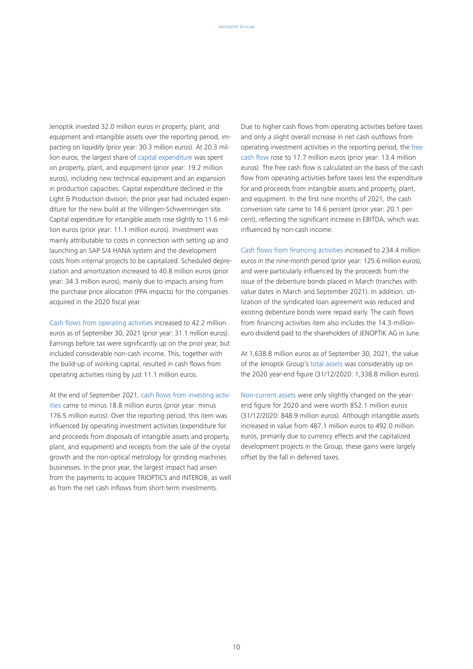Jenoptik invested 32.0 million euros in property, plant, and equipment and intangible assets over the reporting period, impacting on liquidity (prior year: 30.3 million euros). At 20.3 million euros, the largest share of capital expenditure was spent on property, plant, and equipment (prior year: 19.2 million euros), including new technical equipment and an expansion in production capacities. Capital expenditure declined in the Light & Production division; the prior year had included expenditure for the new build at the Villingen-Schwenningen site. Capital expenditure for intangible assets rose slightly to 11.6 million euros (prior year: 11.1 million euros). Investment was mainly attributable to costs in connection with setting up and launching an SAP S/4 HANA system and the development costs from internal projects to be capitalized. Scheduled depreciation and amortization increased to 40.8 million euros (prior year: 34.3 million euros), mainly due to impacts arising from the purchase price allocation (PPA impacts) for the companies acquired in the 2020 fiscal year.

Cash flows from operating activities increased to 42.2 million euros as of September 30, 2021 (prior year: 31.1 million euros). Earnings before tax were significantly up on the prior year, but included considerable non-cash income. This, together with the build-up of working capital, resulted in cash flows from operating activities rising by just 11.1 million euros.

At the end of September 2021, cash flows from investing activities came to minus 18.8 million euros (prior year: minus 176.5 million euros). Over the reporting period, this item was influenced by operating investment activities (expenditure for and proceeds from disposals of intangible assets and property, plant, and equipment) and receipts from the sale of the crystal growth and the non-optical metrology for grinding machines businesses. In the prior year, the largest impact had arisen from the payments to acquire TRIOPTICS and INTEROB, as well as from the net cash inflows from short-term investments.

Due to higher cash flows from operating activities before taxes and only a slight overall increase in net cash outflows from operating investment activities in the reporting period, the free cash flow rose to 17.7 million euros (prior year: 13.4 million euros). The free cash flow is calculated on the basis of the cash flow from operating activities before taxes less the expenditure for and proceeds from intangible assets and property, plant, and equipment. In the first nine months of 2021, the cash conversion rate came to 14.6 percent (prior year: 20.1 percent), reflecting the significant increase in EBITDA, which was influenced by non-cash income.

Cash flows from financing activities increased to 234.4 million euros in the nine-month period (prior year: 125.6 million euros), and were particularly influenced by the proceeds from the issue of the debenture bonds placed in March (tranches with value dates in March and September 2021). In addition, utilization of the syndicated loan agreement was reduced and existing debenture bonds were repaid early. The cash flows from financing activities item also includes the 14.3-millioneuro dividend paid to the shareholders of JENOPTIK AG in June.

At 1,638.8 million euros as of September 30, 2021, the value of the Jenoptik Group's total assets was considerably up on the 2020 year-end figure (31/12/2020: 1,338.8 million euros).

Non-current assets were only slightly changed on the yearend figure for 2020 and were worth 852.1 million euros (31/12/2020: 848.9 million euros). Although intangible assets increased in value from 487.1 million euros to 492.0 million euros, primarily due to currency effects and the capitalized development projects in the Group, these gains were largely offset by the fall in deferred taxes.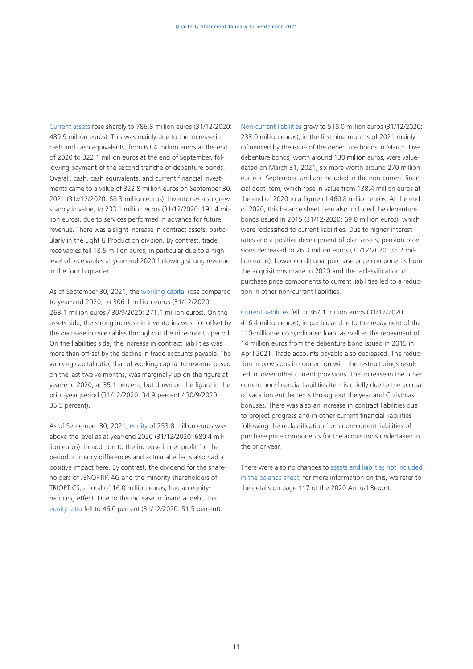Current assets rose sharply to 786.8 million euros (31/12/2020: 489.9 million euros). This was mainly due to the increase in cash and cash equivalents, from 63.4 million euros at the end of 2020 to 322.1 million euros at the end of September, following payment of the second tranche of debenture bonds. Overall, cash, cash equivalents, and current financial investments came to a value of 322.8 million euros on September 30, 2021 (31//12/2020: 68.3 million euros). Inventories also grew sharply in value, to 233.1 million euros (31/12/2020: 191.4 million euros), due to services performed in advance for future revenue. There was a slight increase in contract assets, particularly in the Light & Production division. By contrast, trade receivables fell 18.5 million euros, in particular due to a high level of receivables at year-end 2020 following strong revenue in the fourth quarter.

As of September 30, 2021, the working capital rose compared to year-end 2020, to 306.1 million euros (31/12/2020: 268.1 million euros / 30/9/2020: 271.1 million euros). On the assets side, the strong increase in inventories was not offset by the decrease in receivables throughout the nine-month period. On the liabilities side, the increase in contract liabilities was more than off-set by the decline in trade accounts payable. The working capital ratio, that of working capital to revenue based on the last twelve months, was marginally up on the figure at year-end 2020, at 35.1 percent, but down on the figure in the prior-year period (31/12/2020: 34.9 percent / 30/9/2020: 35.5 percent).

As of September 30, 2021, equity of 753.8 million euros was above the level as at year-end 2020 (31/12/2020: 689.4 million euros). In addition to the increase in net profit for the period, currency differences and actuarial effects also had a positive impact here. By contrast, the dividend for the shareholders of JENOPTIK AG and the minority shareholders of TRIOPTICS, a total of 16.0 million euros, had an equityreducing effect. Due to the increase in financial debt, the equity ratio fell to 46.0 percent (31/12/2020: 51.5 percent).

Non-current liabilities grew to 518.0 million euros (31/12/2020: 233.0 million euros), in the first nine months of 2021 mainly influenced by the issue of the debenture bonds in March. Five debenture bonds, worth around 130 million euros, were valuedated on March 31, 2021, six more worth around 270 million euros in September, and are included in the non-current financial debt item, which rose in value from 138.4 million euros at the end of 2020 to a figure of 460.8 million euros. At the end of 2020, this balance sheet item also included the debenture bonds issued in 2015 (31/12/2020: 69.0 million euros), which were reclassified to current liabilities. Due to higher interest rates and a positive development of plan assets, pension provisions decreased to 26.3 million euros (31/12/2020: 35.2 million euros). Lower conditional purchase price components from the acquisitions made in 2020 and the reclassification of purchase price components to current liabilities led to a reduction in other non-current liabilities.

Current liabilities fell to 367.1 million euros (31/12/2020: 416.4 million euros), in particular due to the repayment of the 110-million-euro syndicated loan, as well as the repayment of 14 million euros from the debenture bond issued in 2015 in April 2021. Trade accounts payable also decreased. The reduction in provisions in connection with the restructurings resulted in lower other current provisions. The increase in the other current non-financial liabilities item is chiefly due to the accrual of vacation entitlements throughout the year and Christmas bonuses. There was also an increase in contract liabilities due to project progress and in other current financial liabilities following the reclassification from non-current liabilities of purchase price components for the acquisitions undertaken in the prior year.

There were also no changes to assets and liabilties not included in the balance sheet; for more information on this, we refer to the details on page 117 of the 2020 Annual Report.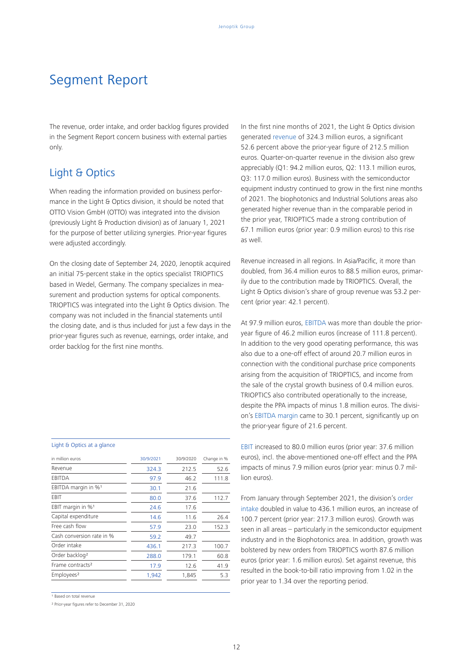## Segment Report

The revenue, order intake, and order backlog figures provided in the Segment Report concern business with external parties only.

### Light & Optics

When reading the information provided on business performance in the Light & Optics division, it should be noted that OTTO Vision GmbH (OTTO) was integrated into the division (previously Light & Production division) as of January 1, 2021 for the purpose of better utilizing synergies. Prior-year figures were adjusted accordingly.

On the closing date of September 24, 2020, Jenoptik acquired an initial 75-percent stake in the optics specialist TRIOPTICS based in Wedel, Germany. The company specializes in measurement and production systems for optical components. TRIOPTICS was integrated into the Light & Optics division. The company was not included in the financial statements until the closing date, and is thus included for just a few days in the prior-year figures such as revenue, earnings, order intake, and order backlog for the first nine months.

### Light & Optics at a glance

| in million euros                | 30/9/2021 | 30/9/2020 | Change in % |
|---------------------------------|-----------|-----------|-------------|
| Revenue                         | 324.3     | 212.5     | 52.6        |
| EBITDA                          | 97.9      | 46.2      | 111.8       |
| EBITDA margin in % <sup>1</sup> | 30.1      | 21.6      |             |
| EBIT                            | 80.0      | 37.6      | 112.7       |
| EBIT margin in %1               | 24.6      | 17.6      |             |
| Capital expenditure             | 14.6      | 11.6      | 26.4        |
| Free cash flow                  | 57.9      | 23.0      | 152.3       |
| Cash conversion rate in %       | 59.2      | 49.7      |             |
| Order intake                    | 436.1     | 217.3     | 100.7       |
| Order backlog <sup>2</sup>      | 288.0     | 179.1     | 60.8        |
| Frame contracts <sup>2</sup>    | 17.9      | 12.6      | 41.9        |
| Employees <sup>2</sup>          | 1,942     | 1,845     | 5.3         |

<sup>1</sup> Based on total revenue

² Prior-year figures refer to December 31, 2020

In the first nine months of 2021, the Light & Optics division generated revenue of 324.3 million euros, a significant 52.6 percent above the prior-year figure of 212.5 million euros. Quarter-on-quarter revenue in the division also grew appreciably (Q1: 94.2 million euros, Q2: 113.1 million euros, Q3: 117.0 million euros). Business with the semiconductor equipment industry continued to grow in the first nine months of 2021. The biophotonics and Industrial Solutions areas also generated higher revenue than in the comparable period in the prior year, TRIOPTICS made a strong contribution of 67.1 million euros (prior year: 0.9 million euros) to this rise as well.

Revenue increased in all regions. In Asia/Pacific, it more than doubled, from 36.4 million euros to 88.5 million euros, primarily due to the contribution made by TRIOPTICS. Overall, the Light & Optics division's share of group revenue was 53.2 percent (prior year: 42.1 percent).

At 97.9 million euros, EBITDA was more than double the prioryear figure of 46.2 million euros (increase of 111.8 percent). In addition to the very good operating performance, this was also due to a one-off effect of around 20.7 million euros in connection with the conditional purchase price components arising from the acquisition of TRIOPTICS, and income from the sale of the crystal growth business of 0.4 million euros. TRIOPTICS also contributed operationally to the increase, despite the PPA impacts of minus 1.8 million euros. The division's EBITDA margin came to 30.1 percent, significantly up on the prior-year figure of 21.6 percent.

EBIT increased to 80.0 million euros (prior year: 37.6 million euros), incl. the above-mentioned one-off effect and the PPA impacts of minus 7.9 million euros (prior year: minus 0.7 million euros).

From January through September 2021, the division's order intake doubled in value to 436.1 million euros, an increase of 100.7 percent (prior year: 217.3 million euros). Growth was seen in all areas – particularly in the semiconductor equipment industry and in the Biophotonics area. In addition, growth was bolstered by new orders from TRIOPTICS worth 87.6 million euros (prior year: 1.6 million euros). Set against revenue, this resulted in the book-to-bill ratio improving from 1.02 in the prior year to 1.34 over the reporting period.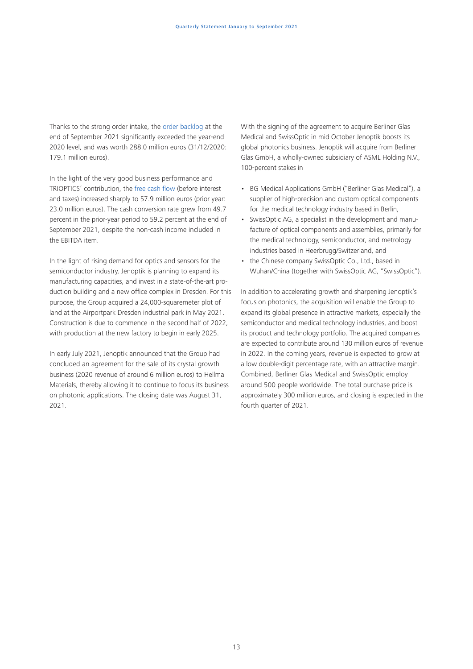Thanks to the strong order intake, the order backlog at the end of September 2021 significantly exceeded the year-end 2020 level, and was worth 288.0 million euros (31/12/2020: 179.1 million euros).

In the light of the very good business performance and TRIOPTICS' contribution, the free cash flow (before interest and taxes) increased sharply to 57.9 million euros (prior year: 23.0 million euros). The cash conversion rate grew from 49.7 percent in the prior-year period to 59.2 percent at the end of September 2021, despite the non-cash income included in the EBITDA item.

In the light of rising demand for optics and sensors for the semiconductor industry, Jenoptik is planning to expand its manufacturing capacities, and invest in a state-of-the-art production building and a new office complex in Dresden. For this purpose, the Group acquired a 24,000-squaremeter plot of land at the Airportpark Dresden industrial park in May 2021. Construction is due to commence in the second half of 2022, with production at the new factory to begin in early 2025.

In early July 2021, Jenoptik announced that the Group had concluded an agreement for the sale of its crystal growth business (2020 revenue of around 6 million euros) to Hellma Materials, thereby allowing it to continue to focus its business on photonic applications. The closing date was August 31, 2021.

With the signing of the agreement to acquire Berliner Glas Medical and SwissOptic in mid October Jenoptik boosts its global photonics business. Jenoptik will acquire from Berliner Glas GmbH, a wholly-owned subsidiary of ASML Holding N.V., 100-percent stakes in

- BG Medical Applications GmbH ("Berliner Glas Medical"), a supplier of high-precision and custom optical components for the medical technology industry based in Berlin,
- SwissOptic AG, a specialist in the development and manufacture of optical components and assemblies, primarily for the medical technology, semiconductor, and metrology industries based in Heerbrugg/Switzerland, and
- the Chinese company SwissOptic Co., Ltd., based in Wuhan/China (together with SwissOptic AG, "SwissOptic").

In addition to accelerating growth and sharpening Jenoptik's focus on photonics, the acquisition will enable the Group to expand its global presence in attractive markets, especially the semiconductor and medical technology industries, and boost its product and technology portfolio. The acquired companies are expected to contribute around 130 million euros of revenue in 2022. In the coming years, revenue is expected to grow at a low double-digit percentage rate, with an attractive margin. Combined, Berliner Glas Medical and SwissOptic employ around 500 people worldwide. The total purchase price is approximately 300 million euros, and closing is expected in the fourth quarter of 2021.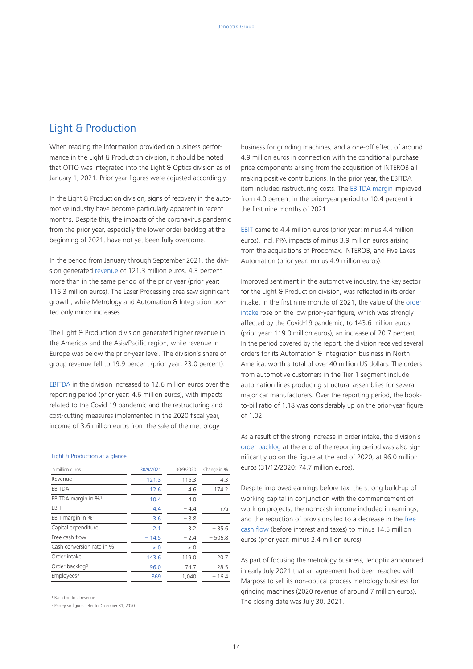## Light & Production

When reading the information provided on business performance in the Light & Production division, it should be noted that OTTO was integrated into the Light & Optics division as of January 1, 2021. Prior-year figures were adjusted accordingly.

In the Light & Production division, signs of recovery in the automotive industry have become particularly apparent in recent months. Despite this, the impacts of the coronavirus pandemic from the prior year, especially the lower order backlog at the beginning of 2021, have not yet been fully overcome.

In the period from January through September 2021, the division generated revenue of 121.3 million euros, 4.3 percent more than in the same period of the prior year (prior year: 116.3 million euros). The Laser Processing area saw significant growth, while Metrology and Automation & Integration posted only minor increases.

The Light & Production division generated higher revenue in the Americas and the Asia/Pacific region, while revenue in Europe was below the prior-year level. The division's share of group revenue fell to 19.9 percent (prior year: 23.0 percent).

EBITDA in the division increased to 12.6 million euros over the reporting period (prior year: 4.6 million euros), with impacts related to the Covid-19 pandemic and the restructuring and cost-cutting measures implemented in the 2020 fiscal year, income of 3.6 million euros from the sale of the metrology

### Light & Production at a glance in million euros 30/9/2021 30/9/2020 Change in % Revenue 121.3 116.3 4.3 EBITDA 12.6 4.6 174.2 EBITDA margin in %<sup>1</sup> 10.4 4.0 EBIT  $4.4 - 4.4$  n/a EBIT margin in %<sup>1</sup>  $\overline{3.6}$  - 3.8 Capital expenditure  $2.1$   $3.2$   $-35.6$ Free cash flow  $-14.5 -2.4 -506.8$ Cash conversion rate in %  $\sqrt{0}$   $\sqrt{0}$   $\sqrt{0}$   $\sqrt{0}$ Order intake 143.6 119.0 20.7 Order backlog² 96.0 74.7 28.5 Employees<sup>2</sup> 869 1,040 – 16.4

<sup>1</sup> Based on total revenue

² Prior-year figures refer to December 31, 2020

business for grinding machines, and a one-off effect of around 4.9 million euros in connection with the conditional purchase price components arising from the acquisition of INTEROB all making positive contributions. In the prior year, the EBITDA item included restructuring costs. The EBITDA margin improved from 4.0 percent in the prior-year period to 10.4 percent in the first nine months of 2021.

EBIT came to 4.4 million euros (prior year: minus 4.4 million euros), incl. PPA impacts of minus 3.9 million euros arising from the acquisitions of Prodomax, INTEROB, and Five Lakes Automation (prior year: minus 4.9 million euros).

Improved sentiment in the automotive industry, the key sector for the Light & Production division, was reflected in its order intake. In the first nine months of 2021, the value of the order intake rose on the low prior-year figure, which was strongly affected by the Covid-19 pandemic, to 143.6 million euros (prior year: 119.0 million euros), an increase of 20.7 percent. In the period covered by the report, the division received several orders for its Automation & Integration business in North America, worth a total of over 40 million US dollars. The orders from automotive customers in the Tier 1 segment include automation lines producing structural assemblies for several major car manufacturers. Over the reporting period, the bookto-bill ratio of 1.18 was considerably up on the prior-year figure of 1.02.

As a result of the strong increase in order intake, the division's order backlog at the end of the reporting period was also significantly up on the figure at the end of 2020, at 96.0 million euros (31/12/2020: 74.7 million euros).

Despite improved earnings before tax, the strong build-up of working capital in conjunction with the commencement of work on projects, the non-cash income included in earnings, and the reduction of provisions led to a decrease in the free cash flow (before interest and taxes) to minus 14.5 million euros (prior year: minus 2.4 million euros).

As part of focusing the metrology business, Jenoptik announced in early July 2021 that an agreement had been reached with Marposs to sell its non-optical process metrology business for grinding machines (2020 revenue of around 7 million euros). The closing date was July 30, 2021.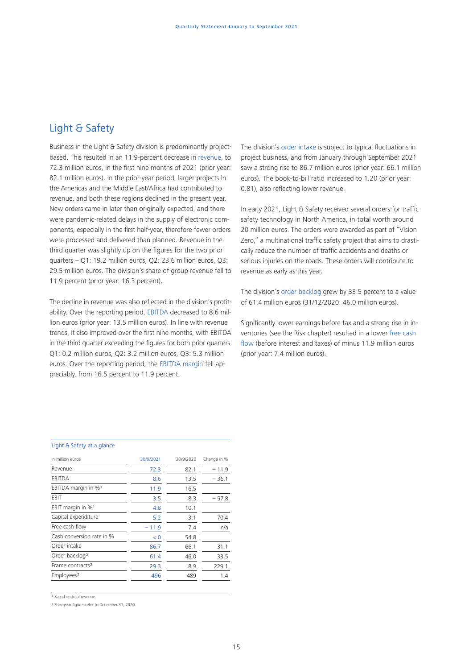## Light & Safety

Business in the Light & Safety division is predominantly projectbased. This resulted in an 11.9-percent decrease in revenue, to 72.3 million euros, in the first nine months of 2021 (prior year: 82.1 million euros). In the prior-year period, larger projects in the Americas and the Middle East/Africa had contributed to revenue, and both these regions declined in the present year. New orders came in later than originally expected, and there were pandemic-related delays in the supply of electronic components, especially in the first half-year, therefore fewer orders were processed and delivered than planned. Revenue in the third quarter was slightly up on the figures for the two prior quarters – Q1: 19.2 million euros, Q2: 23.6 million euros, Q3: 29.5 million euros. The division's share of group revenue fell to 11.9 percent (prior year: 16.3 percent).

The decline in revenue was also reflected in the division's profitability. Over the reporting period, EBITDA decreased to 8.6 million euros (prior year: 13,5 million euros). In line with revenue trends, it also improved over the first nine months, with EBITDA in the third quarter exceeding the figures for both prior quarters Q1: 0.2 million euros, Q2: 3.2 million euros, Q3: 5.3 million euros. Over the reporting period, the EBITDA margin fell appreciably, from 16.5 percent to 11.9 percent.

The division's order intake is subject to typical fluctuations in project business, and from January through September 2021 saw a strong rise to 86.7 million euros (prior year: 66.1 million euros). The book-to-bill ratio increased to 1.20 (prior year: 0.81), also reflecting lower revenue.

In early 2021, Light & Safety received several orders for traffic safety technology in North America, in total worth around 20 million euros. The orders were awarded as part of "Vision Zero," a multinational traffic safety project that aims to drastically reduce the number of traffic accidents and deaths or serious injuries on the roads. These orders will contribute to revenue as early as this year.

The division's order backlog grew by 33.5 percent to a value of 61.4 million euros (31/12/2020: 46.0 million euros).

Significantly lower earnings before tax and a strong rise in inventories (see the Risk chapter) resulted in a lower free cash flow (before interest and taxes) of minus 11.9 million euros (prior year: 7.4 million euros).

### Light & Safety at a glance

| in million euros                | 30/9/2021 | 30/9/2020 | Change in % |
|---------------------------------|-----------|-----------|-------------|
| Revenue                         | 72.3      | 82.1      | $-11.9$     |
| EBITDA                          | 8.6       | 13.5      | $-36.1$     |
| EBITDA margin in % <sup>1</sup> | 11.9      | 16.5      |             |
| EBIT                            | 3.5       | 8.3       | $-57.8$     |
| EBIT margin in % <sup>1</sup>   | 4.8       | 10.1      |             |
| Capital expenditure             | 5.2       | 3.1       | 70.4        |
| Free cash flow                  | $-11.9$   | 7.4       | n/a         |
| Cash conversion rate in %       | < 0       | 54.8      |             |
| Order intake                    | 86.7      | 66.1      | 31.1        |
| Order backlog <sup>2</sup>      | 61.4      | 46.0      | 33.5        |
| Frame contracts <sup>2</sup>    | 29.3      | 8.9       | 229.1       |
| Employees <sup>2</sup>          | 496       | 489       | 1.4         |
|                                 |           |           |             |

1 Based on total revenue

² Prior-year figures refer to December 31, 2020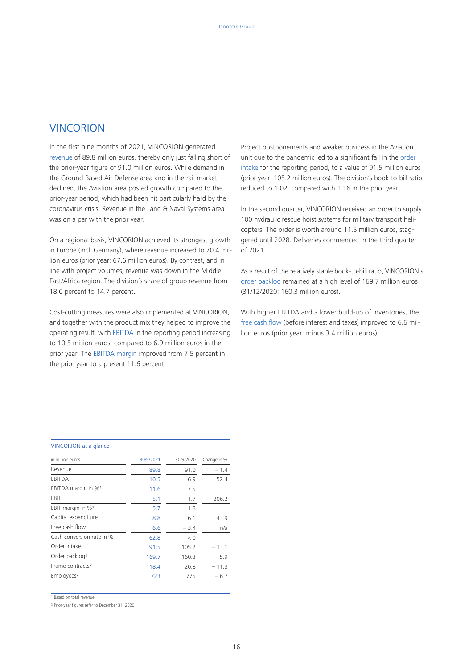### **VINCORION**

In the first nine months of 2021, VINCORION generated revenue of 89.8 million euros, thereby only just falling short of the prior-year figure of 91.0 million euros. While demand in the Ground Based Air Defense area and in the rail market declined, the Aviation area posted growth compared to the prior-year period, which had been hit particularly hard by the coronavirus crisis. Revenue in the Land & Naval Systems area was on a par with the prior year.

On a regional basis, VINCORION achieved its strongest growth in Europe (incl. Germany), where revenue increased to 70.4 million euros (prior year: 67.6 million euros). By contrast, and in line with project volumes, revenue was down in the Middle East/Africa region. The division's share of group revenue from 18.0 percent to 14.7 percent.

Cost-cutting measures were also implemented at VINCORION, and together with the product mix they helped to improve the operating result, with EBITDA in the reporting period increasing to 10.5 million euros, compared to 6.9 million euros in the prior year. The EBITDA margin improved from 7.5 percent in the prior year to a present 11.6 percent.

Project postponements and weaker business in the Aviation unit due to the pandemic led to a significant fall in the order intake for the reporting period, to a value of 91.5 million euros (prior year: 105.2 million euros). The division's book-to-bill ratio reduced to 1.02, compared with 1.16 in the prior year.

In the second quarter, VINCORION received an order to supply 100 hydraulic rescue hoist systems for military transport helicopters. The order is worth around 11.5 million euros, staggered until 2028. Deliveries commenced in the third quarter of 2021.

As a result of the relatively stable book-to-bill ratio, VINCORION's order backlog remained at a high level of 169.7 million euros (31/12/2020: 160.3 million euros).

With higher EBITDA and a lower build-up of inventories, the free cash flow (before interest and taxes) improved to 6.6 million euros (prior year: minus 3.4 million euros).

#### VINCORION at a glance

| in million euros             | 30/9/2021 | 30/9/2020 | Change in % |
|------------------------------|-----------|-----------|-------------|
| Revenue                      | 89.8      | 91.0      | $-1.4$      |
| <b>EBITDA</b>                | 10.5      | 6.9       | 52.4        |
| EBITDA margin in %1          | 11.6      | 7.5       |             |
| EBIT                         | 5.1       | 1.7       | 206.2       |
| EBIT margin in %1            | 5.7       | 1.8       |             |
| Capital expenditure          | 8.8       | 6.1       | 43.9        |
| Free cash flow               | 6.6       | $-3.4$    | n/a         |
| Cash conversion rate in %    | 62.8      | < 0       |             |
| Order intake                 | 91.5      | 105.2     | $-13.1$     |
| Order backlog <sup>2</sup>   | 169.7     | 160.3     | 5.9         |
| Frame contracts <sup>2</sup> | 18.4      | 20.8      | $-11.3$     |
| Employees <sup>2</sup>       | 723       | 775       | $-6.7$      |

**Based on total revenue** 

² Prior-year figures refer to December 31, 2020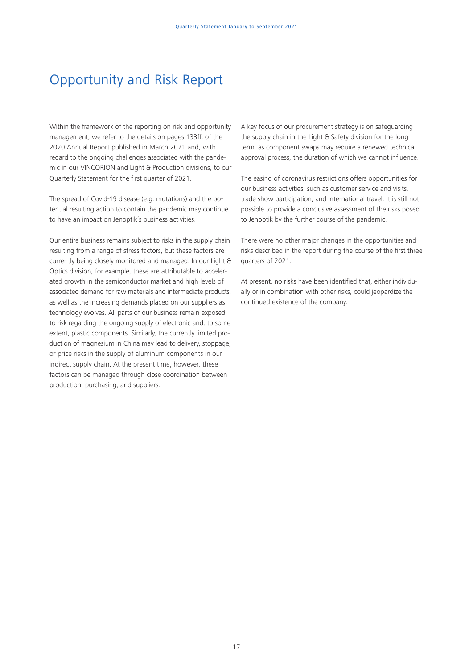## Opportunity and Risk Report

Within the framework of the reporting on risk and opportunity management, we refer to the details on pages 133ff. of the 2020 Annual Report published in March 2021 and, with regard to the ongoing challenges associated with the pandemic in our VINCORION and Light & Production divisions, to our Quarterly Statement for the first quarter of 2021.

The spread of Covid-19 disease (e.g. mutations) and the potential resulting action to contain the pandemic may continue to have an impact on Jenoptik's business activities.

Our entire business remains subject to risks in the supply chain resulting from a range of stress factors, but these factors are currently being closely monitored and managed. In our Light & Optics division, for example, these are attributable to accelerated growth in the semiconductor market and high levels of associated demand for raw materials and intermediate products, as well as the increasing demands placed on our suppliers as technology evolves. All parts of our business remain exposed to risk regarding the ongoing supply of electronic and, to some extent, plastic components. Similarly, the currently limited production of magnesium in China may lead to delivery, stoppage, or price risks in the supply of aluminum components in our indirect supply chain. At the present time, however, these factors can be managed through close coordination between production, purchasing, and suppliers.

A key focus of our procurement strategy is on safeguarding the supply chain in the Light & Safety division for the long term, as component swaps may require a renewed technical approval process, the duration of which we cannot influence.

The easing of coronavirus restrictions offers opportunities for our business activities, such as customer service and visits, trade show participation, and international travel. It is still not possible to provide a conclusive assessment of the risks posed to Jenoptik by the further course of the pandemic.

There were no other major changes in the opportunities and risks described in the report during the course of the first three quarters of 2021.

At present, no risks have been identified that, either individually or in combination with other risks, could jeopardize the continued existence of the company.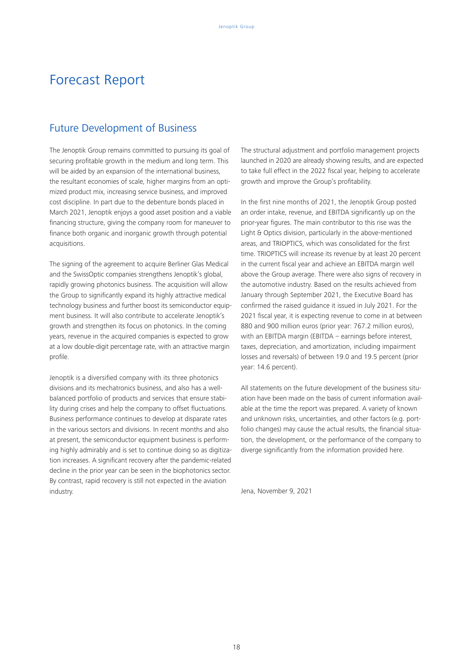## Forecast Report

### Future Development of Business

The Jenoptik Group remains committed to pursuing its goal of securing profitable growth in the medium and long term. This will be aided by an expansion of the international business, the resultant economies of scale, higher margins from an optimized product mix, increasing service business, and improved cost discipline. In part due to the debenture bonds placed in March 2021, Jenoptik enjoys a good asset position and a viable financing structure, giving the company room for maneuver to finance both organic and inorganic growth through potential acquisitions.

The signing of the agreement to acquire Berliner Glas Medical and the SwissOptic companies strengthens Jenoptik's global, rapidly growing photonics business. The acquisition will allow the Group to significantly expand its highly attractive medical technology business and further boost its semiconductor equipment business. It will also contribute to accelerate Jenoptik's growth and strengthen its focus on photonics. In the coming years, revenue in the acquired companies is expected to grow at a low double-digit percentage rate, with an attractive margin profile.

Jenoptik is a diversified company with its three photonics divisions and its mechatronics business, and also has a wellbalanced portfolio of products and services that ensure stability during crises and help the company to offset fluctuations. Business performance continues to develop at disparate rates in the various sectors and divisions. In recent months and also at present, the semiconductor equipment business is performing highly admirably and is set to continue doing so as digitization increases. A significant recovery after the pandemic-related decline in the prior year can be seen in the biophotonics sector. By contrast, rapid recovery is still not expected in the aviation industry.

The structural adjustment and portfolio management projects launched in 2020 are already showing results, and are expected to take full effect in the 2022 fiscal year, helping to accelerate growth and improve the Group's profitability.

In the first nine months of 2021, the Jenoptik Group posted an order intake, revenue, and EBITDA significantly up on the prior-year figures. The main contributor to this rise was the Light & Optics division, particularly in the above-mentioned areas, and TRIOPTICS, which was consolidated for the first time. TRIOPTICS will increase its revenue by at least 20 percent in the current fiscal year and achieve an EBITDA margin well above the Group average. There were also signs of recovery in the automotive industry. Based on the results achieved from January through September 2021, the Executive Board has confirmed the raised guidance it issued in July 2021. For the 2021 fiscal year, it is expecting revenue to come in at between 880 and 900 million euros (prior year: 767.2 million euros), with an EBITDA margin (EBITDA – earnings before interest, taxes, depreciation, and amortization, including impairment losses and reversals) of between 19.0 and 19.5 percent (prior year: 14.6 percent).

All statements on the future development of the business situation have been made on the basis of current information available at the time the report was prepared. A variety of known and unknown risks, uncertainties, and other factors (e.g. portfolio changes) may cause the actual results, the financial situation, the development, or the performance of the company to diverge significantly from the information provided here.

Jena, November 9, 2021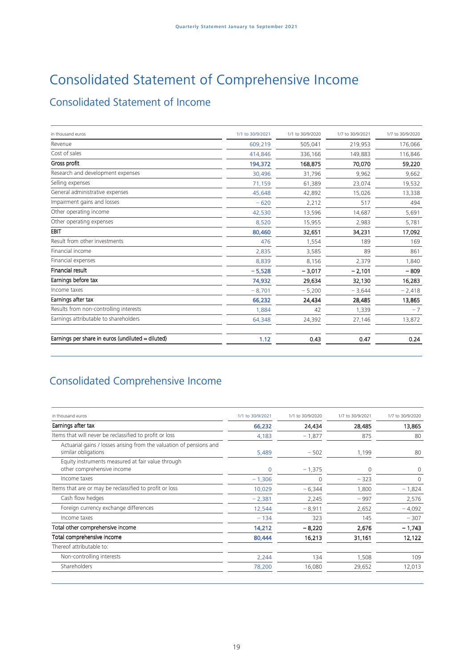# Consolidated Statement of Comprehensive Income

## Consolidated Statement of Income

| in thousand euros                                 | 1/1 to 30/9/2021 | 1/1 to 30/9/2020 | 1/7 to 30/9/2021 | 1/7 to 30/9/2020 |
|---------------------------------------------------|------------------|------------------|------------------|------------------|
| Revenue                                           | 609,219          | 505,041          | 219,953          | 176,066          |
| Cost of sales                                     | 414.846          | 336,166          | 149,883          | 116,846          |
| Gross profit                                      | 194,372          | 168,875          | 70,070           | 59,220           |
| Research and development expenses                 | 30,496           | 31,796           | 9,962            | 9,662            |
| Selling expenses                                  | 71,159           | 61,389           | 23,074           | 19,532           |
| General administrative expenses                   | 45,648           | 42,892           | 15,026           | 13,338           |
| Impairment gains and losses                       | $-620$           | 2,212            | 517              | 494              |
| Other operating income                            | 42,530           | 13,596           | 14,687           | 5,691            |
| Other operating expenses                          | 8,520            | 15,955           | 2,983            | 5,781            |
| EBIT                                              | 80,460           | 32,651           | 34,231           | 17,092           |
| Result from other investments                     | 476              | 1,554            | 189              | 169              |
| Financial income                                  | 2,835            | 3,585            | 89               | 861              |
| Financial expenses                                | 8,839            | 8,156            | 2,379            | 1,840            |
| <b>Financial result</b>                           | $-5,528$         | $-3,017$         | $-2,101$         | $-809$           |
| Earnings before tax                               | 74,932           | 29,634           | 32,130           | 16,283           |
| Income taxes                                      | $-8,701$         | $-5,200$         | $-3,644$         | $-2,418$         |
| Earnings after tax                                | 66,232           | 24,434           | 28,485           | 13,865           |
| Results from non-controlling interests            | 1,884            | 42               | 1,339            | $-7$             |
| Earnings attributable to shareholders             | 64,348           | 24,392           | 27,146           | 13,872           |
| Earnings per share in euros (undiluted = diluted) | 1.12             | 0.43             | 0.47             | 0.24             |

## Consolidated Comprehensive Income

| in thousand euros                                                                          | 1/1 to 30/9/2021 | 1/1 to 30/9/2020 | 1/7 to 30/9/2021 | 1/7 to 30/9/2020 |
|--------------------------------------------------------------------------------------------|------------------|------------------|------------------|------------------|
| Earnings after tax                                                                         | 66,232           | 24,434           | 28,485           | 13,865           |
| Items that will never be reclassified to profit or loss                                    | 4,183            | $-1,877$         | 875              | 80               |
| Actuarial gains / losses arising from the valuation of pensions and<br>similar obligations | 5,489            | $-502$           | 1,199            | 80               |
| Equity instruments measured at fair value through<br>other comprehensive income            | 0                | $-1,375$         | 0                | $\mathbf 0$      |
| Income taxes                                                                               | $-1,306$         |                  | $-323$           | $\circ$          |
| Items that are or may be reclassified to profit or loss                                    | 10,029           | $-6,344$         | 1,800            | $-1,824$         |
| Cash flow hedges                                                                           | $-2,381$         | 2,245            | $-997$           | 2,576            |
| Foreign currency exchange differences                                                      | 12,544           | $-8,911$         | 2,652            | $-4,092$         |
| Income taxes                                                                               | $-134$           | 323              | 145              | $-307$           |
| Total other comprehensive income                                                           | 14,212           | $-8,220$         | 2,676            | $-1,743$         |
| Total comprehensive income                                                                 | 80,444           | 16,213           | 31,161           | 12,122           |
| Thereof attributable to:                                                                   |                  |                  |                  |                  |
| Non-controlling interests                                                                  | 2,244            | 134              | 1,508            | 109              |
| Shareholders                                                                               | 78,200           | 16,080           | 29,652           | 12,013           |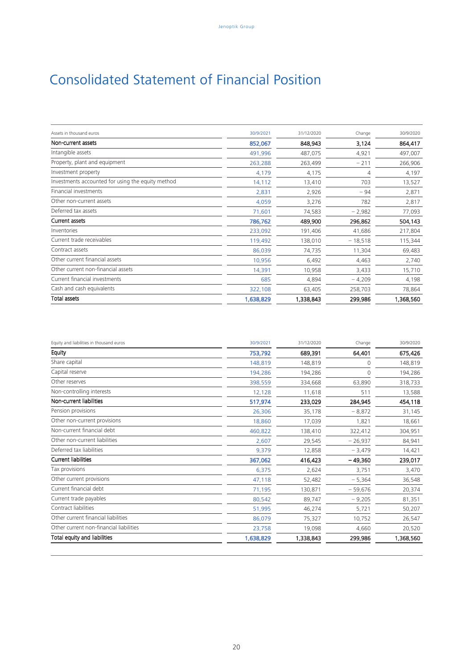# Consolidated Statement of Financial Position

| Assets in thousand euros                          | 30/9/2021 | 31/12/2020 | Change    | 30/9/2020 |
|---------------------------------------------------|-----------|------------|-----------|-----------|
| Non-current assets                                | 852,067   | 848,943    | 3,124     | 864,417   |
| Intangible assets                                 | 491,996   | 487,075    | 4,921     | 497,007   |
| Property, plant and equipment                     | 263,288   | 263,499    | $-211$    | 266,906   |
| Investment property                               | 4,179     | 4,175      | 4         | 4,197     |
| Investments accounted for using the equity method | 14,112    | 13,410     | 703       | 13,527    |
| Financial investments                             | 2,831     | 2,926      | $-94$     | 2,871     |
| Other non-current assets                          | 4,059     | 3,276      | 782       | 2,817     |
| Deferred tax assets                               | 71,601    | 74,583     | $-2,982$  | 77,093    |
| Current assets                                    | 786,762   | 489,900    | 296,862   | 504,143   |
| Inventories                                       | 233,092   | 191,406    | 41,686    | 217,804   |
| Current trade receivables                         | 119,492   | 138,010    | $-18,518$ | 115,344   |
| Contract assets                                   | 86,039    | 74,735     | 11,304    | 69,483    |
| Other current financial assets                    | 10,956    | 6,492      | 4,463     | 2,740     |
| Other current non-financial assets                | 14,391    | 10,958     | 3,433     | 15,710    |
| Current financial investments                     | 685       | 4,894      | $-4,209$  | 4,198     |
| Cash and cash equivalents                         | 322,108   | 63,405     | 258,703   | 78,864    |
| <b>Total assets</b>                               | 1,638,829 | 1,338,843  | 299,986   | 1,368,560 |

| Equity and liabilities in thousand euros | 30/9/2021 | 31/12/2020 | Change    | 30/9/2020 |
|------------------------------------------|-----------|------------|-----------|-----------|
| Equity                                   | 753,792   | 689,391    | 64,401    | 675,426   |
| Share capital                            | 148,819   | 148,819    | 0         | 148,819   |
| Capital reserve                          | 194,286   | 194,286    | 0         | 194,286   |
| Other reserves                           | 398,559   | 334,668    | 63,890    | 318,733   |
| Non-controlling interests                | 12,128    | 11,618     | 511       | 13,588    |
| Non-current liabilities                  | 517,974   | 233,029    | 284,945   | 454,118   |
| Pension provisions                       | 26,306    | 35,178     | $-8,872$  | 31,145    |
| Other non-current provisions             | 18,860    | 17,039     | 1,821     | 18,661    |
| Non-current financial debt               | 460,822   | 138,410    | 322,412   | 304,951   |
| Other non-current liabilities            | 2,607     | 29,545     | $-26,937$ | 84,941    |
| Deferred tax liabilities                 | 9,379     | 12,858     | $-3,479$  | 14,421    |
| <b>Current liabilities</b>               | 367,062   | 416,423    | $-49,360$ | 239,017   |
| Tax provisions                           | 6,375     | 2,624      | 3,751     | 3,470     |
| Other current provisions                 | 47,118    | 52,482     | $-5,364$  | 36,548    |
| Current financial debt                   | 71,195    | 130,871    | $-59,676$ | 20,374    |
| Current trade payables                   | 80,542    | 89,747     | $-9,205$  | 81,351    |
| Contract liabilities                     | 51,995    | 46,274     | 5,721     | 50,207    |
| Other current financial liabilities      | 86,079    | 75,327     | 10,752    | 26,547    |
| Other current non-financial liabilities  | 23,758    | 19,098     | 4,660     | 20,520    |
| Total equity and liabilities             | 1,638,829 | 1,338,843  | 299,986   | 1,368,560 |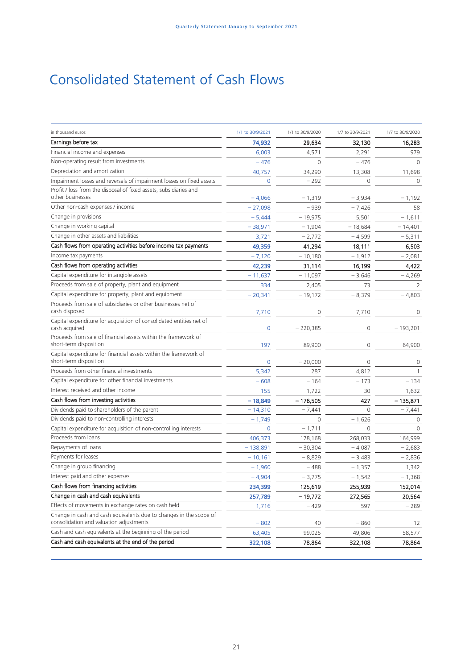# Consolidated Statement of Cash Flows

| in thousand euros                                                                                             | 1/1 to 30/9/2021 | 1/1 to 30/9/2020 | 1/7 to 30/9/2021 | 1/7 to 30/9/2020 |
|---------------------------------------------------------------------------------------------------------------|------------------|------------------|------------------|------------------|
| Earnings before tax                                                                                           | 74,932           | 29,634           | 32,130           | 16,283           |
| Financial income and expenses                                                                                 | 6,003            | 4,571            | 2,291            | 979              |
| Non-operating result from investments                                                                         | $-476$           | $\Omega$         | $-476$           | $\Omega$         |
| Depreciation and amortization                                                                                 | 40,757           | 34,290           | 13,308           | 11,698           |
| Impairment losses and reversals of impairment losses on fixed assets                                          | $\mathbf 0$      | $-292$           | $\mathbf 0$      | $\circ$          |
| Profit / loss from the disposal of fixed assets, subsidiaries and<br>other businesses                         | $-4,066$         | $-1,319$         | $-3,934$         | $-1,192$         |
| Other non-cash expenses / income                                                                              | $-27,098$        | $-939$           | $-7,426$         | 58               |
| Change in provisions                                                                                          | $-5,444$         | - 19,975         | 5,501            | $-1,611$         |
| Change in working capital                                                                                     | $-38,971$        | $-1,904$         | $-18,684$        | $-14,401$        |
| Change in other assets and liabilities                                                                        | 3,721            | $-2,772$         | $-4,599$         | $-5,311$         |
| Cash flows from operating activities before income tax payments                                               | 49,359           | 41,294           | 18,111           | 6,503            |
| Income tax payments                                                                                           | $-7,120$         | $-10,180$        | $-1,912$         | $-2,081$         |
| Cash flows from operating activities                                                                          | 42,239           | 31,114           | 16,199           | 4,422            |
| Capital expenditure for intangible assets                                                                     | $-11,637$        | $-11,097$        | $-3,646$         | - 4,269          |
| Proceeds from sale of property, plant and equipment                                                           | 334              | 2,405            | 73               | 2                |
| Capital expenditure for property, plant and equipment                                                         | $-20,341$        | $-19,172$        | $-8,379$         | $-4,803$         |
| Proceeds from sale of subsidiaries or other businesses net of<br>cash disposed                                | 7,710            | 0                | 7,710            | $\circ$          |
| Capital expenditure for acquisition of consolidated entities net of<br>cash acquired                          | $\mathbf 0$      | $-220,385$       | 0                | $-193,201$       |
| Proceeds from sale of financial assets within the framework of<br>short-term disposition                      | 197              | 89,900           | $\mathbf{0}$     | 64,900           |
| Capital expenditure for financial assets within the framework of<br>short-term disposition                    | $\mathbf 0$      | $-20,000$        | $\circ$          | $\circ$          |
| Proceeds from other financial investments                                                                     | 5,342            | 287              | 4,812            |                  |
| Capital expenditure for other financial investments                                                           | $-608$           | $-164$           | $-173$           | $-134$           |
| Interest received and other income                                                                            | 155              | 1,722            | 30               | 1,632            |
| Cash flows from investing activities                                                                          | $-18,849$        | $-176,505$       | 427              | $-135,871$       |
| Dividends paid to shareholders of the parent                                                                  | $-14,310$        | $-7,441$         | $\Omega$         | $-7,441$         |
| Dividends paid to non-controlling interests                                                                   | $-1,749$         | <sup>0</sup>     | $-1,626$         | $\Omega$         |
| Capital expenditure for acquisition of non-controlling interests                                              | $\Omega$         | $-1,711$         | $\Omega$         | $\Omega$         |
| Proceeds from loans                                                                                           | 406,373          | 178,168          | 268,033          | 164,999          |
| Repayments of loans                                                                                           | $-138,891$       | $-30,304$        | $-4,087$         | $-2,683$         |
| Payments for leases                                                                                           | $-10,161$        | $-8,829$         | $-3,483$         | $-2,836$         |
| Change in group financing                                                                                     | $-1,960$         | $-488$           | $-1,357$         | 1,342            |
| Interest paid and other expenses                                                                              | $-4,904$         | $-3,775$         | $-1,542$         | $-1,368$         |
| Cash flows from financing activities                                                                          | 234,399          | 125,619          | 255,939          | 152,014          |
| Change in cash and cash equivalents                                                                           | 257,789          | $-19,772$        | 272,565          | 20,564           |
| Effects of movements in exchange rates on cash held                                                           | 1,716            | $-429$           | 597              | $-289$           |
| Change in cash and cash equivalents due to changes in the scope of<br>consolidation and valuation adjustments | $-802$           | 40               | $-860$           | 12               |
| Cash and cash equivalents at the beginning of the period                                                      | 63,405           | 99,025           | 49,806           | 58,577           |
| Cash and cash equivalents at the end of the period                                                            | 322,108          | 78,864           | 322,108          | 78,864           |
|                                                                                                               |                  |                  |                  |                  |